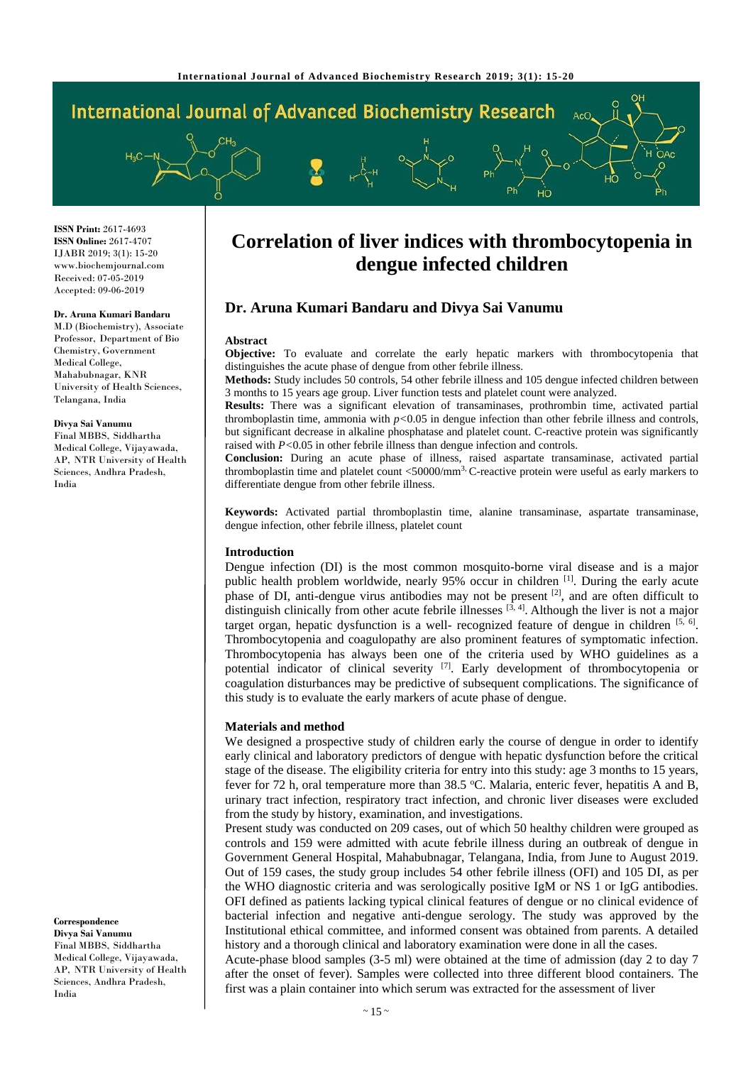

**ISSN Print:** 2617-4693 **ISSN Online:** 2617-4707 IJABR 2019; 3(1): 15-20 www.biochemjournal.com Received: 07-05-2019 Accepted: 09-06-2019

#### **Dr. Aruna Kumari Bandaru**

M.D (Biochemistry), Associate Professor, Department of Bio Chemistry, Government Medical College, Mahabubnagar, KNR University of Health Sciences, Telangana, India

#### **Divya Sai Vanumu**

Final MBBS, Siddhartha Medical College, Vijayawada, AP, NTR University of Health Sciences, Andhra Pradesh, India

**Correspondence Divya Sai Vanumu** Final MBBS, Siddhartha Medical College, Vijayawada, AP, NTR University of Health Sciences, Andhra Pradesh, India

# **Correlation of liver indices with thrombocytopenia in dengue infected children**

# **Dr. Aruna Kumari Bandaru and Divya Sai Vanumu**

#### **Abstract**

**Objective:** To evaluate and correlate the early hepatic markers with thrombocytopenia that distinguishes the acute phase of dengue from other febrile illness.

**Methods:** Study includes 50 controls, 54 other febrile illness and 105 dengue infected children between 3 months to 15 years age group. Liver function tests and platelet count were analyzed.

**Results:** There was a significant elevation of transaminases, prothrombin time, activated partial thromboplastin time, ammonia with  $p<0.05$  in dengue infection than other febrile illness and controls, but significant decrease in alkaline phosphatase and platelet count. C-reactive protein was significantly raised with *P<*0.05 in other febrile illness than dengue infection and controls.

**Conclusion:** During an acute phase of illness, raised aspartate transaminase, activated partial thromboplastin time and platelet count <50000/mm3, C-reactive protein were useful as early markers to differentiate dengue from other febrile illness.

**Keywords:** Activated partial thromboplastin time, alanine transaminase, aspartate transaminase, dengue infection, other febrile illness, platelet count

### **Introduction**

Dengue infection (DI) is the most common mosquito-borne viral disease and is a major public health problem worldwide, nearly 95% occur in children [1]. During the early acute phase of DI, anti-dengue virus antibodies may not be present <sup>[2]</sup>, and are often difficult to distinguish clinically from other acute febrile illnesses  $[3, 4]$ . Although the liver is not a major target organ, hepatic dysfunction is a well- recognized feature of dengue in children [5, 6]. Thrombocytopenia and coagulopathy are also prominent features of symptomatic infection. Thrombocytopenia has always been one of the criteria used by WHO guidelines as a potential indicator of clinical severity [7]. Early development of thrombocytopenia or coagulation disturbances may be predictive of subsequent complications. The significance of this study is to evaluate the early markers of acute phase of dengue.

#### **Materials and method**

We designed a prospective study of children early the course of dengue in order to identify early clinical and laboratory predictors of dengue with hepatic dysfunction before the critical stage of the disease. The eligibility criteria for entry into this study: age 3 months to 15 years, fever for 72 h, oral temperature more than 38.5 °C. Malaria, enteric fever, hepatitis A and B, urinary tract infection, respiratory tract infection, and chronic liver diseases were excluded from the study by history, examination, and investigations.

Present study was conducted on 209 cases, out of which 50 healthy children were grouped as controls and 159 were admitted with acute febrile illness during an outbreak of dengue in Government General Hospital, Mahabubnagar, Telangana, India, from June to August 2019. Out of 159 cases, the study group includes 54 other febrile illness (OFI) and 105 DI, as per the WHO diagnostic criteria and was serologically positive IgM or NS 1 or IgG antibodies. OFI defined as patients lacking typical clinical features of dengue or no clinical evidence of bacterial infection and negative anti-dengue serology. The study was approved by the Institutional ethical committee, and informed consent was obtained from parents. A detailed history and a thorough clinical and laboratory examination were done in all the cases.

Acute-phase blood samples (3-5 ml) were obtained at the time of admission (day 2 to day 7 after the onset of fever). Samples were collected into three different blood containers. The first was a plain container into which serum was extracted for the assessment of liver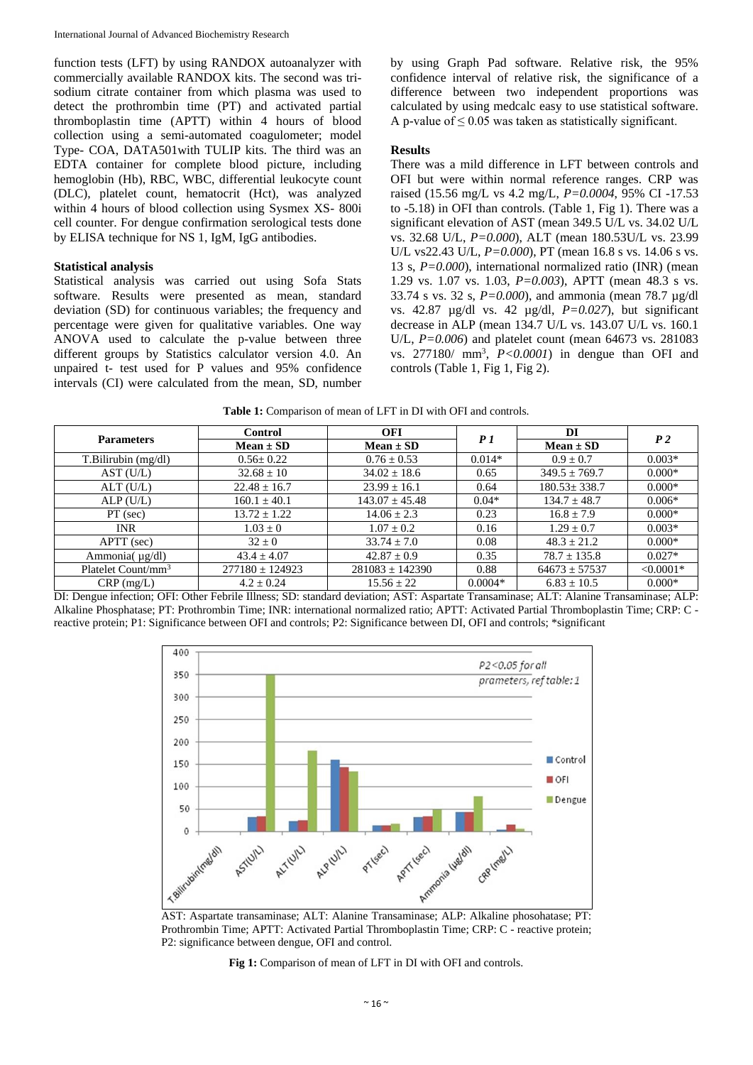function tests (LFT) by using RANDOX autoanalyzer with commercially available RANDOX kits. The second was trisodium citrate container from which plasma was used to detect the prothrombin time (PT) and activated partial thromboplastin time (APTT) within 4 hours of blood collection using a semi-automated coagulometer; model Type- COA, DATA501with TULIP kits. The third was an EDTA container for complete blood picture, including hemoglobin (Hb), RBC, WBC, differential leukocyte count (DLC), platelet count, hematocrit (Hct), was analyzed within 4 hours of blood collection using Sysmex XS- 800i cell counter. For dengue confirmation serological tests done by ELISA technique for NS 1, IgM, IgG antibodies.

## **Statistical analysis**

Statistical analysis was carried out using Sofa Stats software. Results were presented as mean, standard deviation (SD) for continuous variables; the frequency and percentage were given for qualitative variables. One way ANOVA used to calculate the p-value between three different groups by Statistics calculator version 4.0. An unpaired t- test used for P values and 95% confidence intervals (CI) were calculated from the mean, SD, number by using Graph Pad software. Relative risk, the 95% confidence interval of relative risk, the significance of a difference between two independent proportions was calculated by using medcalc easy to use statistical software. A p-value of  $\leq 0.05$  was taken as statistically significant.

### **Results**

There was a mild difference in LFT between controls and OFI but were within normal reference ranges. CRP was raised (15.56 mg/L vs 4.2 mg/L, *P=0.0004*, 95% CI -17.53 to -5.18) in OFI than controls. (Table 1, Fig 1). There was a significant elevation of AST (mean 349.5 U/L vs. 34.02 U/L vs. 32.68 U/L, *P=0.000*), ALT (mean 180.53U/L vs. 23.99 U/L vs22.43 U/L, *P=0.000*), PT (mean 16.8 s vs. 14.06 s vs. 13 s, *P=0.000*), international normalized ratio (INR) (mean 1.29 vs. 1.07 vs. 1.03, *P=0.003*), APTT (mean 48.3 s vs. 33.74 s vs. 32 s, *P=0.000*), and ammonia (mean 78.7 µg/dl vs. 42.87 µg/dl vs. 42 µg/dl, *P=0.027*), but significant decrease in ALP (mean 134.7 U/L vs. 143.07 U/L vs. 160.1 U/L, *P=0.006*) and platelet count (mean 64673 vs. 281083 vs. 277180/ mm<sup>3</sup> , *P<0.0001*) in dengue than OFI and controls (Table 1, Fig 1, Fig 2).

| <b>Parameters</b>              | <b>Control</b>      | <b>OFI</b>          | P1        | DI                 | P <sub>2</sub> |
|--------------------------------|---------------------|---------------------|-----------|--------------------|----------------|
|                                | $Mean \pm SD$       | $Mean \pm SD$       |           | $Mean \pm SD$      |                |
| T.Bilirubin (mg/dl)            | $0.56 \pm 0.22$     | $0.76 \pm 0.53$     | $0.014*$  | $0.9 \pm 0.7$      | $0.003*$       |
| AST (U/L)                      | $32.68 \pm 10$      | $34.02 \pm 18.6$    | 0.65      | $349.5 \pm 769.7$  | $0.000*$       |
| ALT(U/L)                       | $22.48 \pm 16.7$    | $23.99 \pm 16.1$    | 0.64      | $180.53 \pm 338.7$ | $0.000*$       |
| ALP(U/L)                       | $160.1 \pm 40.1$    | $143.07 \pm 45.48$  | $0.04*$   | $134.7 \pm 48.7$   | $0.006*$       |
| $PT$ (sec)                     | $13.72 \pm 1.22$    | $14.06 \pm 2.3$     | 0.23      | $16.8 \pm 7.9$     | $0.000*$       |
| <b>INR</b>                     | $1.03 \pm 0$        | $1.07 \pm 0.2$      | 0.16      | $1.29 \pm 0.7$     | $0.003*$       |
| $APTT$ (sec)                   | $32 \pm 0$          | $33.74 \pm 7.0$     | 0.08      | $48.3 \pm 21.2$    | $0.000*$       |
| Ammonia( $\mu$ g/dl)           | $43.4 \pm 4.07$     | $42.87 \pm 0.9$     | 0.35      | $78.7 \pm 135.8$   | $0.027*$       |
| Platelet Count/mm <sup>3</sup> | $277180 \pm 124923$ | $281083 \pm 142390$ | 0.88      | $64673 \pm 57537$  | $< 0.0001*$    |
| $CRP$ (mg/L)                   | $4.2 \pm 0.24$      | $15.56 \pm 22$      | $0.0004*$ | $6.83 \pm 10.5$    | $0.000*$       |

**Table 1:** Comparison of mean of LFT in DI with OFI and controls.

DI: Dengue infection; OFI: Other Febrile Illness; SD: standard deviation; AST: Aspartate Transaminase; ALT: Alanine Transaminase; ALP: Alkaline Phosphatase; PT: Prothrombin Time; INR: international normalized ratio; APTT: Activated Partial Thromboplastin Time; CRP: C reactive protein; P1: Significance between OFI and controls; P2: Significance between DI, OFI and controls; \*significant



AST: Aspartate transaminase; ALT: Alanine Transaminase; ALP: Alkaline phosohatase; PT: Prothrombin Time; APTT: Activated Partial Thromboplastin Time; CRP: C - reactive protein; P2: significance between dengue, OFI and control.

**Fig 1:** Comparison of mean of LFT in DI with OFI and controls.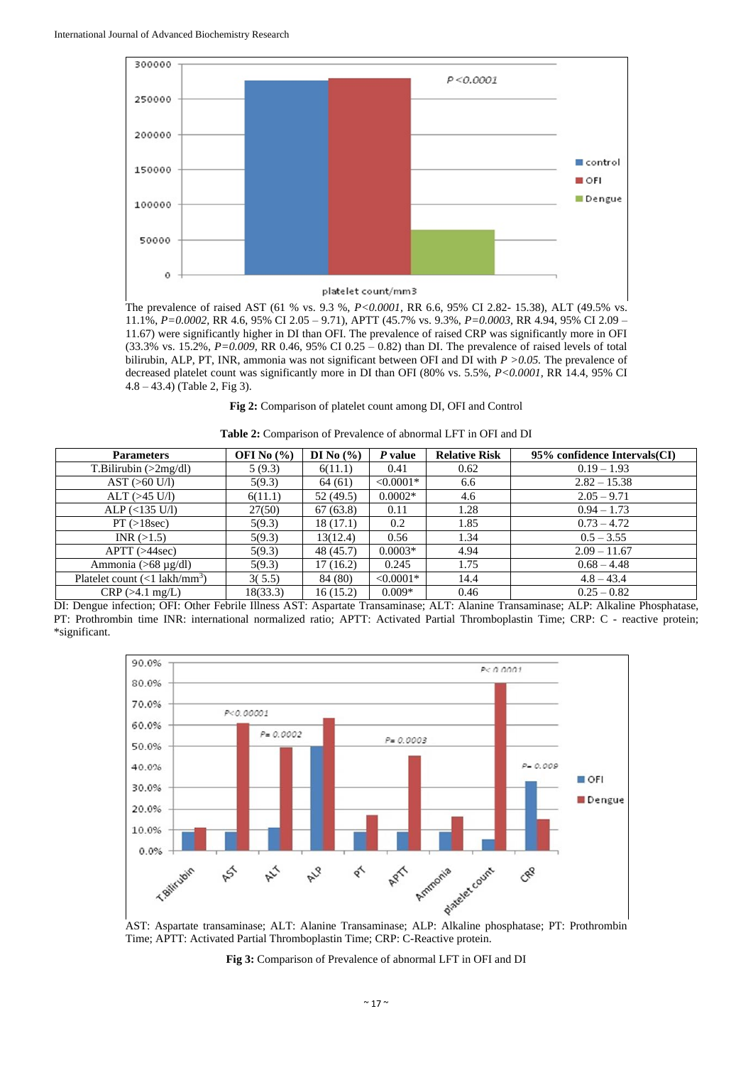

The prevalence of raised AST (61 % vs. 9.3 %, *P<0.0001,* RR 6.6, 95% CI 2.82- 15.38), ALT (49.5% vs. 11.1%, *P=0.0002,* RR 4.6, 95% CI 2.05 – 9.71), APTT (45.7% vs. 9.3%, *P=0.0003,* RR 4.94, 95% CI 2.09 – 11.67) were significantly higher in DI than OFI. The prevalence of raised CRP was significantly more in OFI (33.3% vs. 15.2%, *P=0.009,* RR 0.46, 95% CI 0.25 – 0.82) than DI. The prevalence of raised levels of total bilirubin, ALP, PT, INR, ammonia was not significant between OFI and DI with *P >0.05.* The prevalence of decreased platelet count was significantly more in DI than OFI (80% vs. 5.5%, *P<0.0001,* RR 14.4, 95% CI 4.8 – 43.4) (Table 2, Fig 3).

**Fig 2:** Comparison of platelet count among DI, OFI and Control

| <b>Table 2:</b> Comparison of Prevalence of abnormal LFT in OFI and DI |  |  |  |  |  |
|------------------------------------------------------------------------|--|--|--|--|--|
|                                                                        |  |  |  |  |  |

| <b>Parameters</b>                           | OFI No $(\% )$ | DI No $(\% )$ | $P$ value   | <b>Relative Risk</b> | 95% confidence Intervals(CI) |
|---------------------------------------------|----------------|---------------|-------------|----------------------|------------------------------|
| T.Bilirubin (>2mg/dl)                       | 5(9.3)         | 6(11.1)       | 0.41        | 0.62                 | $0.19 - 1.93$                |
| AST (>60 U/l)                               | 5(9.3)         | 64(61)        | $< 0.0001*$ | 6.6                  | $2.82 - 15.38$               |
| $ALT$ ( $>45$ U/l)                          | 6(11.1)        | 52 (49.5)     | $0.0002*$   | 4.6                  | $2.05 - 9.71$                |
| $ALP$ (<135 U/l)                            | 27(50)         | 67(63.8)      | 0.11        | 1.28                 | $0.94 - 1.73$                |
| PT (>18sec)                                 | 5(9.3)         | 18(17.1)      | 0.2         | 1.85                 | $0.73 - 4.72$                |
| INR (>1.5)                                  | 5(9.3)         | 13(12.4)      | 0.56        | 1.34                 | $0.5 - 3.55$                 |
| APTT (>44sec)                               | 5(9.3)         | 48 (45.7)     | $0.0003*$   | 4.94                 | $2.09 - 11.67$               |
| Ammonia ( $>68 \mu g/dl$ )                  | 5(9.3)         | 17(16.2)      | 0.245       | 1.75                 | $0.68 - 4.48$                |
| Platelet count $(<1$ lakh/mm <sup>3</sup> ) | 3(5.5)         | 84 (80)       | $< 0.0001*$ | 14.4                 | $4.8 - 43.4$                 |
| $CRP (>4.1$ mg/L)                           | 18(33.3)       | 16(15.2)      | $0.009*$    | 0.46                 | $0.25 - 0.82$                |

DI: Dengue infection; OFI: Other Febrile Illness AST: Aspartate Transaminase; ALT: Alanine Transaminase; ALP: Alkaline Phosphatase, PT: Prothrombin time INR: international normalized ratio; APTT: Activated Partial Thromboplastin Time; CRP: C - reactive protein; \*significant.



Time; APTT: Activated Partial Thromboplastin Time; CRP: C-Reactive protein.

**Fig 3:** Comparison of Prevalence of abnormal LFT in OFI and DI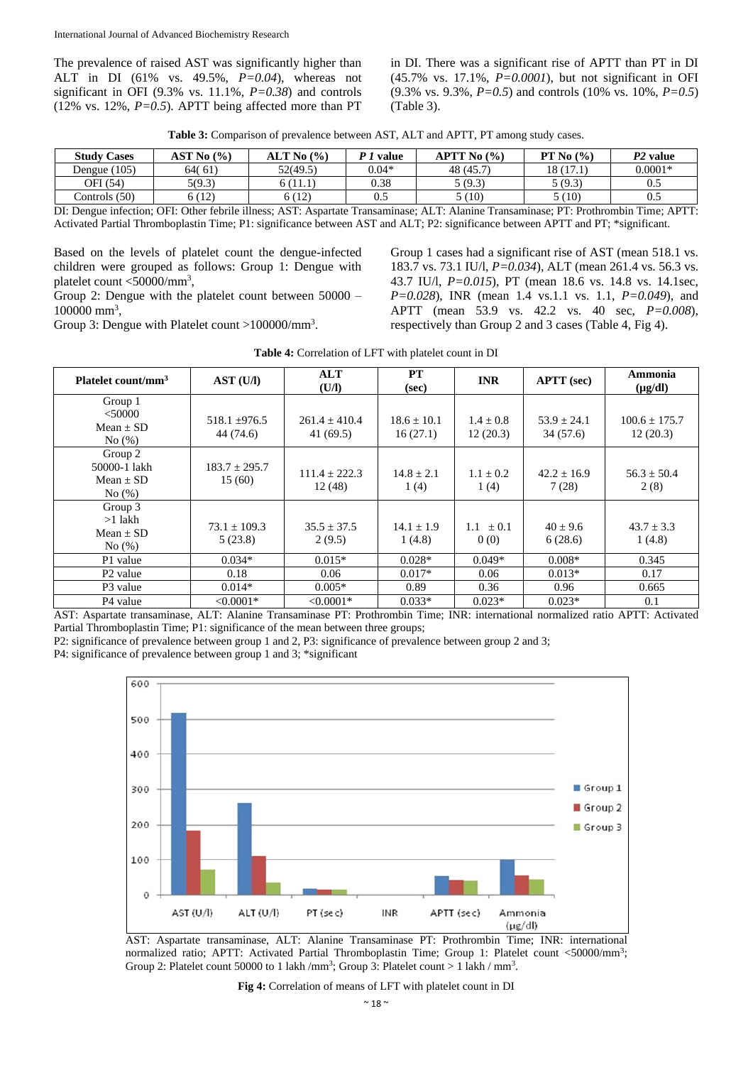The prevalence of raised AST was significantly higher than ALT in DI (61% vs. 49.5%, *P=0.04*), whereas not significant in OFI (9.3% vs. 11.1%, *P=0.38*) and controls (12% vs. 12%,  $P=0.5$ ). APTT being affected more than PT

in DI. There was a significant rise of APTT than PT in DI (45.7% vs. 17.1%, *P=0.0001*), but not significant in OFI (9.3% vs. 9.3%, *P=0.5*) and controls (10% vs. 10%, *P=0.5*) (Table 3).

| <b>Study Cases</b> | AST No (%) | ALT No (%) | value   | $\rm APTT$ No $\left(\frac{9}{6}\right)$ | PT No $(\% )$ | P <sub>2</sub> value |
|--------------------|------------|------------|---------|------------------------------------------|---------------|----------------------|
| Dengue (105)       | 64(61)     | 52(49.5)   | $0.04*$ | 48 (45.7)                                | 18(17.1)      | $0.0001*$            |
| OFI (54)           | 5(9.3)     | (11.1      | 0.38    | 5(9.3)                                   | 5(9.3)        | U.J                  |
| Controls $(50)$    | 5 (12)     | 6(12)      | 0.5     | 5 (10)                                   | 5 (10)        | U.S                  |

DI: Dengue infection; OFI: Other febrile illness; AST: Aspartate Transaminase; ALT: Alanine Transaminase; PT: Prothrombin Time; APTT: Activated Partial Thromboplastin Time; P1: significance between AST and ALT; P2: significance between APTT and PT; \*significant.

Based on the levels of platelet count the dengue-infected children were grouped as follows: Group 1: Dengue with platelet count <50000/mm<sup>3</sup> ,

Group 2: Dengue with the platelet count between 50000 – 100000 mm<sup>3</sup>,

Group 3: Dengue with Platelet count >100000/mm<sup>3</sup>.

Group 1 cases had a significant rise of AST (mean 518.1 vs. 183.7 vs. 73.1 IU/l, *P=0.034*), ALT (mean 261.4 vs. 56.3 vs. 43.7 IU/l, *P=0.015*), PT (mean 18.6 vs. 14.8 vs. 14.1sec, *P=0.028*), INR (mean 1.4 vs.1.1 vs. 1.1, *P=0.049*), and APTT (mean 53.9 vs. 42.2 vs. 40 sec, *P=0.008*), respectively than Group 2 and 3 cases (Table 4, Fig 4).

| Platelet count/mm <sup>3</sup>                    | AST (U/I)                      | <b>ALT</b><br>(U/I)         | PT<br>(sec)                 | <b>INR</b>                | <b>APTT</b> (sec)           | Ammonia<br>$(\mu g/dl)$       |
|---------------------------------------------------|--------------------------------|-----------------------------|-----------------------------|---------------------------|-----------------------------|-------------------------------|
| Group 1<br>$<$ 50000<br>$Mean + SD$<br>No(%)      | $518.1 \pm 976.5$<br>44 (74.6) | $261.4 + 410.4$<br>41(69.5) | $18.6 \pm 10.1$<br>16(27.1) | $1.4 \pm 0.8$<br>12(20.3) | $53.9 \pm 24.1$<br>34(57.6) | $100.6 \pm 175.7$<br>12(20.3) |
| Group 2<br>50000-1 lakh<br>Mean $\pm$ SD<br>No(%) | $183.7 \pm 295.7$<br>15(60)    | $111.4 + 222.3$<br>12(48)   | $14.8 \pm 2.1$<br>1(4)      | $1.1 + 0.2$<br>1(4)       | $42.2 + 16.9$<br>7(28)      | $56.3 \pm 50.4$<br>2(8)       |
| Group 3<br>$>1$ lakh<br>$Mean + SD$<br>No(%)      | $73.1 + 109.3$<br>5(23.8)      | $35.5 + 37.5$<br>2(9.5)     | $14.1 \pm 1.9$<br>1(4.8)    | 1.1<br>$+0.1$<br>0(0)     | $40 + 9.6$<br>6(28.6)       | $43.7 \pm 3.3$<br>1(4.8)      |
| P1 value                                          | $0.034*$                       | $0.015*$                    | $0.028*$                    | $0.049*$                  | $0.008*$                    | 0.345                         |
| P <sub>2</sub> value                              | 0.18                           | 0.06                        | $0.017*$                    | 0.06                      | $0.013*$                    | 0.17                          |
| P <sub>3</sub> value                              | $0.014*$                       | $0.005*$                    | 0.89                        | 0.36                      | 0.96                        | 0.665                         |
| P <sub>4</sub> value                              | $< 0.0001*$                    | $< 0.0001*$                 | $0.033*$                    | $0.023*$                  | $0.023*$                    | 0.1                           |

AST: Aspartate transaminase, ALT: Alanine Transaminase PT: Prothrombin Time; INR: international normalized ratio APTT: Activated Partial Thromboplastin Time; P1: significance of the mean between three groups;

P2: significance of prevalence between group 1 and 2, P3: significance of prevalence between group 2 and 3; P4: significance of prevalence between group 1 and 3; \*significant



AST: Aspartate transaminase, ALT: Alanine Transaminase PT: Prothrombin Time; INR: international normalized ratio; APTT: Activated Partial Thromboplastin Time; Group 1: Platelet count <50000/mm<sup>3</sup>; Group 2: Platelet count 50000 to 1 lakh /mm<sup>3</sup>; Group 3: Platelet count > 1 lakh / mm<sup>3</sup>.

**Fig 4:** Correlation of means of LFT with platelet count in DI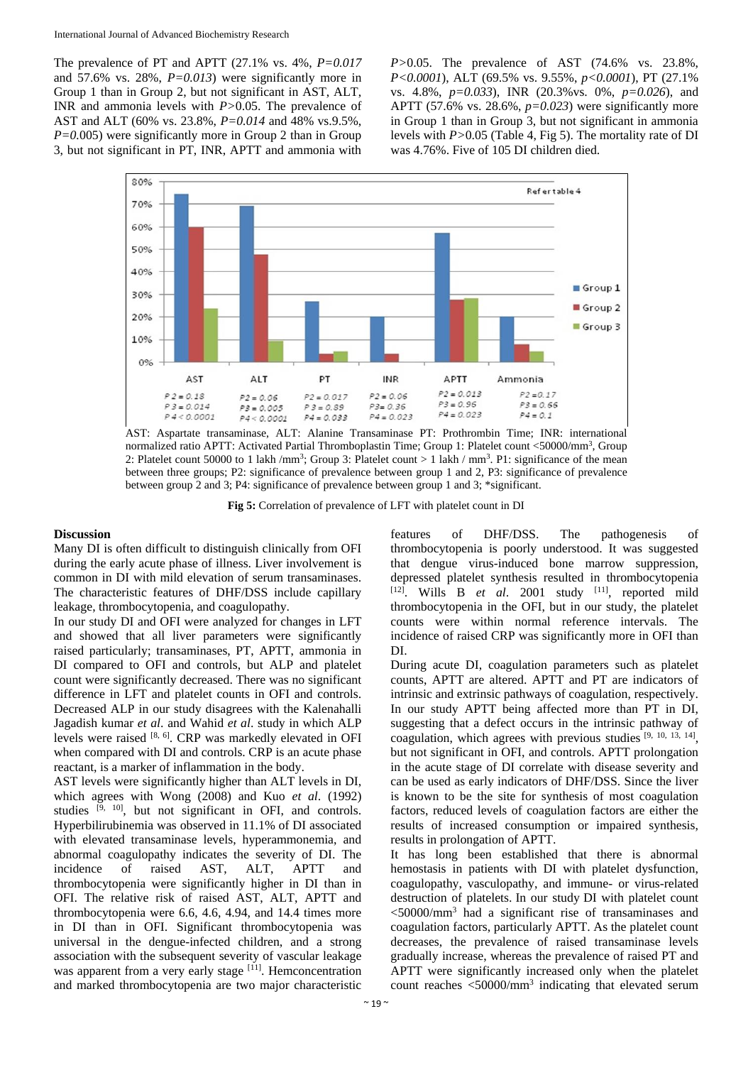The prevalence of PT and APTT (27.1% vs. 4%, *P=0.017*  and 57.6% vs. 28%, *P=0.013*) were significantly more in Group 1 than in Group 2, but not significant in AST, ALT, INR and ammonia levels with *P>*0.05. The prevalence of AST and ALT (60% vs. 23.8%, *P=0.014* and 48% vs.9.5%, *P=0.*005) were significantly more in Group 2 than in Group 3, but not significant in PT, INR, APTT and ammonia with

*P>*0.05. The prevalence of AST (74.6% vs. 23.8%, *P<0.0001*), ALT (69.5% vs. 9.55%, *p<0.0001*), PT (27.1% vs. 4.8%, *p=0.033*), INR (20.3%vs. 0%, *p=0.026*), and APTT (57.6% vs. 28.6%, *p=0.023*) were significantly more in Group 1 than in Group 3, but not significant in ammonia levels with *P>*0.05 (Table 4, Fig 5). The mortality rate of DI was 4.76%. Five of 105 DI children died.



AST: Aspartate transaminase, ALT: Alanine Transaminase PT: Prothrombin Time; INR: international normalized ratio APTT: Activated Partial Thromboplastin Time; Group 1: Platelet count <50000/mm<sup>3</sup>, Group 2: Platelet count 50000 to 1 lakh /mm<sup>3</sup>; Group 3: Platelet count  $> 1$  lakh / mm<sup>3</sup>. P1: significance of the mean between three groups; P2: significance of prevalence between group 1 and 2, P3: significance of prevalence between group 2 and 3; P4: significance of prevalence between group 1 and 3; \*significant.

**Fig 5:** Correlation of prevalence of LFT with platelet count in DI

## **Discussion**

Many DI is often difficult to distinguish clinically from OFI during the early acute phase of illness. Liver involvement is common in DI with mild elevation of serum transaminases. The characteristic features of DHF/DSS include capillary leakage, thrombocytopenia, and coagulopathy.

In our study DI and OFI were analyzed for changes in LFT and showed that all liver parameters were significantly raised particularly; transaminases, PT, APTT, ammonia in DI compared to OFI and controls, but ALP and platelet count were significantly decreased. There was no significant difference in LFT and platelet counts in OFI and controls. Decreased ALP in our study disagrees with the Kalenahalli Jagadish kumar *et al*. and Wahid *et al*. study in which ALP levels were raised [8, 6]. CRP was markedly elevated in OFI when compared with DI and controls. CRP is an acute phase reactant, is a marker of inflammation in the body.

AST levels were significantly higher than ALT levels in DI, which agrees with Wong (2008) and Kuo *et al*. (1992) studies [9, 10], but not significant in OFI, and controls. Hyperbilirubinemia was observed in 11.1% of DI associated with elevated transaminase levels, hyperammonemia, and abnormal coagulopathy indicates the severity of DI. The incidence of raised AST, ALT, APTT and thrombocytopenia were significantly higher in DI than in OFI. The relative risk of raised AST, ALT, APTT and thrombocytopenia were 6.6, 4.6, 4.94, and 14.4 times more in DI than in OFI. Significant thrombocytopenia was universal in the dengue-infected children, and a strong association with the subsequent severity of vascular leakage was apparent from a very early stage [11]. Hemconcentration and marked thrombocytopenia are two major characteristic

features of DHF/DSS. The pathogenesis of thrombocytopenia is poorly understood. It was suggested that dengue virus-induced bone marrow suppression, depressed platelet synthesis resulted in thrombocytopenia [12] . Wills B *et al*. 2001 study [11], reported mild thrombocytopenia in the OFI, but in our study, the platelet counts were within normal reference intervals. The incidence of raised CRP was significantly more in OFI than DI.

During acute DI, coagulation parameters such as platelet counts, APTT are altered. APTT and PT are indicators of intrinsic and extrinsic pathways of coagulation, respectively. In our study APTT being affected more than PT in DI, suggesting that a defect occurs in the intrinsic pathway of coagulation, which agrees with previous studies [9, 10, 13, 14] , but not significant in OFI, and controls. APTT prolongation in the acute stage of DI correlate with disease severity and can be used as early indicators of DHF/DSS. Since the liver is known to be the site for synthesis of most coagulation factors, reduced levels of coagulation factors are either the results of increased consumption or impaired synthesis, results in prolongation of APTT.

It has long been established that there is abnormal hemostasis in patients with DI with platelet dysfunction, coagulopathy, vasculopathy, and immune- or virus-related destruction of platelets. In our study DI with platelet count <50000/mm<sup>3</sup> had a significant rise of transaminases and coagulation factors, particularly APTT. As the platelet count decreases, the prevalence of raised transaminase levels gradually increase, whereas the prevalence of raised PT and APTT were significantly increased only when the platelet count reaches <50000/mm<sup>3</sup> indicating that elevated serum